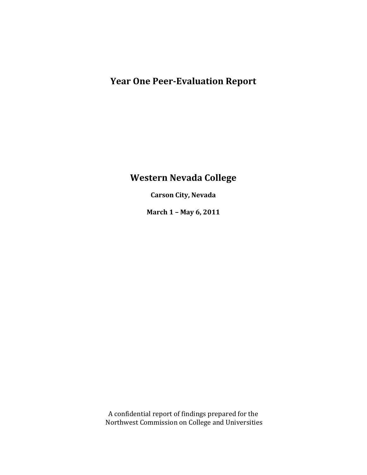# **Year One Peer-Evaluation Report**

# **Western Nevada College**

**Carson City, Nevada**

**March 1 – May 6, 2011**

A confidential report of findings prepared for the Northwest Commission on College and Universities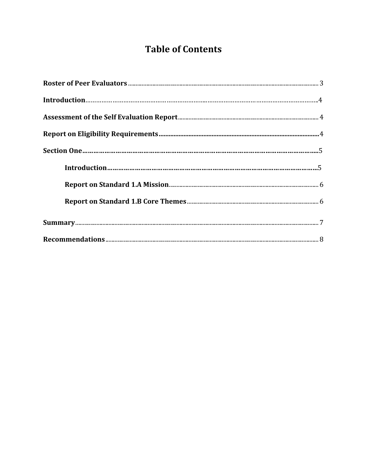# **Table of Contents**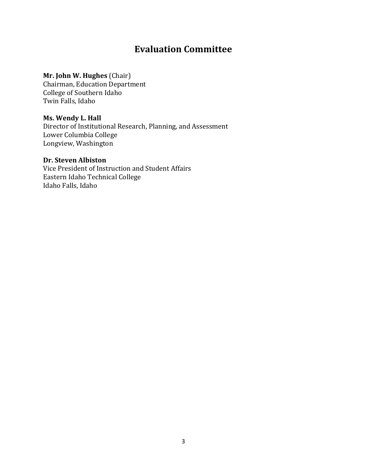## **Evaluation Committee**

### **Mr. John W. Hughes** (Chair)

Chairman, Education Department College of Southern Idaho Twin Falls, Idaho

### **Ms. Wendy L. Hall**

Director of Institutional Research, Planning, and Assessment Lower Columbia College Longview, Washington

### **Dr. Steven Albiston**

Vice President of Instruction and Student Affairs Eastern Idaho Technical College Idaho Falls, Idaho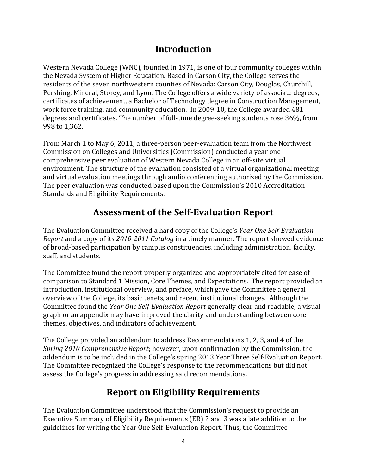### **Introduction**

Western Nevada College (WNC), founded in 1971, is one of four community colleges within the Nevada System of Higher Education. Based in Carson City, the College serves the residents of the seven northwestern counties of Nevada: Carson City, Douglas, Churchill, Pershing, Mineral, Storey, and Lyon. The College offers a wide variety of associate degrees, certificates of achievement, a Bachelor of Technology degree in Construction Management, work force training, and community education. In 2009-10, the College awarded 481 degrees and certificates. The number of full-time degree-seeking students rose 36%, from 998 to 1,362.

From March 1 to May 6, 2011, a three-person peer-evaluation team from the Northwest Commission on Colleges and Universities (Commission) conducted a year one comprehensive peer evaluation of Western Nevada College in an off-site virtual environment. The structure of the evaluation consisted of a virtual organizational meeting and virtual evaluation meetings through audio conferencing authorized by the Commission. The peer evaluation was conducted based upon the Commission's 2010 Accreditation Standards and Eligibility Requirements.

# **Assessment of the Self-Evaluation Report**

The Evaluation Committee received a hard copy of the College's *Year One Self-Evaluation Report* and a copy of its *2010-2011 Catalog* in a timely manner. The report showed evidence of broad-based participation by campus constituencies, including administration, faculty, staff, and students.

The Committee found the report properly organized and appropriately cited for ease of comparison to Standard 1 Mission, Core Themes, and Expectations. The report provided an introduction, institutional overview, and preface, which gave the Committee a general overview of the College, its basic tenets, and recent institutional changes. Although the Committee found the *Year One Self-Evaluation Report* generally clear and readable, a visual graph or an appendix may have improved the clarity and understanding between core themes, objectives, and indicators of achievement.

The College provided an addendum to address Recommendations 1, 2, 3, and 4 of the *Spring 2010 Comprehensive Report*; however, upon confirmation by the Commission, the addendum is to be included in the College's spring 2013 Year Three Self-Evaluation Report. The Committee recognized the College's response to the recommendations but did not assess the College's progress in addressing said recommendations.

# **Report on Eligibility Requirements**

The Evaluation Committee understood that the Commission's request to provide an Executive Summary of Eligibility Requirements (ER) 2 and 3 was a late addition to the guidelines for writing the Year One Self-Evaluation Report. Thus, the Committee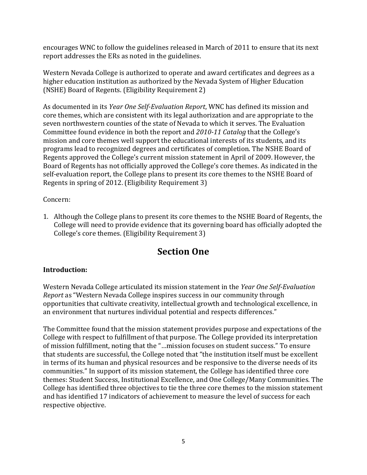encourages WNC to follow the guidelines released in March of 2011 to ensure that its next report addresses the ERs as noted in the guidelines.

Western Nevada College is authorized to operate and award certificates and degrees as a higher education institution as authorized by the Nevada System of Higher Education (NSHE) Board of Regents. (Eligibility Requirement 2)

As documented in its *Year One Self-Evaluation Report*, WNC has defined its mission and core themes, which are consistent with its legal authorization and are appropriate to the seven northwestern counties of the state of Nevada to which it serves. The Evaluation Committee found evidence in both the report and *2010-11 Catalog* that the College's mission and core themes well support the educational interests of its students, and its programs lead to recognized degrees and certificates of completion. The NSHE Board of Regents approved the College's current mission statement in April of 2009. However, the Board of Regents has not officially approved the College's core themes. As indicated in the self-evaluation report, the College plans to present its core themes to the NSHE Board of Regents in spring of 2012. (Eligibility Requirement 3)

Concern:

1. Although the College plans to present its core themes to the NSHE Board of Regents, the College will need to provide evidence that its governing board has officially adopted the College's core themes. (Eligibility Requirement 3)

# **Section One**

### **Introduction:**

Western Nevada College articulated its mission statement in the *Year One Self-Evaluation Report* as "Western Nevada College inspires success in our community through opportunities that cultivate creativity, intellectual growth and technological excellence, in an environment that nurtures individual potential and respects differences."

The Committee found that the mission statement provides purpose and expectations of the College with respect to fulfillment of that purpose. The College provided its interpretation of mission fulfillment, noting that the "…mission focuses on student success." To ensure that students are successful, the College noted that "the institution itself must be excellent in terms of its human and physical resources and be responsive to the diverse needs of its communities." In support of its mission statement, the College has identified three core themes: Student Success, Institutional Excellence, and One College/Many Communities. The College has identified three objectives to tie the three core themes to the mission statement and has identified 17 indicators of achievement to measure the level of success for each respective objective.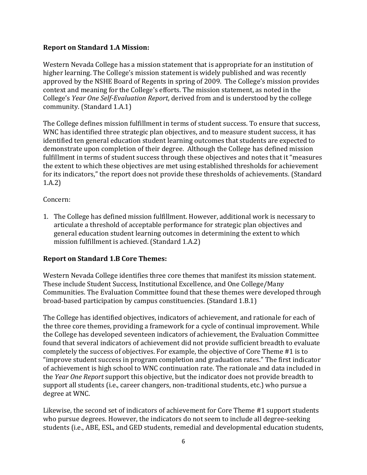### **Report on Standard 1.A Mission:**

Western Nevada College has a mission statement that is appropriate for an institution of higher learning. The College's mission statement is widely published and was recently approved by the NSHE Board of Regents in spring of 2009. The College's mission provides context and meaning for the College's efforts. The mission statement, as noted in the College's *Year One Self-Evaluation Report*, derived from and is understood by the college community. (Standard 1.A.1)

The College defines mission fulfillment in terms of student success. To ensure that success, WNC has identified three strategic plan objectives, and to measure student success, it has identified ten general education student learning outcomes that students are expected to demonstrate upon completion of their degree. Although the College has defined mission fulfillment in terms of student success through these objectives and notes that it "measures the extent to which these objectives are met using established thresholds for achievement for its indicators," the report does not provide these thresholds of achievements. (Standard 1.A.2)

#### Concern:

1. The College has defined mission fulfillment. However, additional work is necessary to articulate a threshold of acceptable performance for strategic plan objectives and general education student learning outcomes in determining the extent to which mission fulfillment is achieved. (Standard 1.A.2)

### **Report on Standard 1.B Core Themes:**

Western Nevada College identifies three core themes that manifest its mission statement. These include Student Success, Institutional Excellence, and One College/Many Communities. The Evaluation Committee found that these themes were developed through broad-based participation by campus constituencies. (Standard 1.B.1)

The College has identified objectives, indicators of achievement, and rationale for each of the three core themes, providing a framework for a cycle of continual improvement. While the College has developed seventeen indicators of achievement, the Evaluation Committee found that several indicators of achievement did not provide sufficient breadth to evaluate completely the success of objectives. For example, the objective of Core Theme #1 is to "improve student success in program completion and graduation rates." The first indicator of achievement is high school to WNC continuation rate. The rationale and data included in the *Year One Report* support this objective, but the indicator does not provide breadth to support all students (i.e., career changers, non-traditional students, etc.) who pursue a degree at WNC.

Likewise, the second set of indicators of achievement for Core Theme #1 support students who pursue degrees. However, the indicators do not seem to include all degree-seeking students (i.e., ABE, ESL, and GED students, remedial and developmental education students,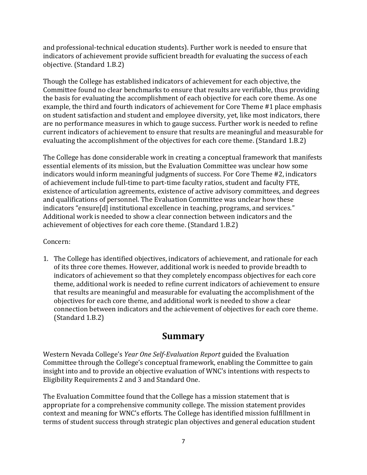and professional-technical education students). Further work is needed to ensure that indicators of achievement provide sufficient breadth for evaluating the success of each objective. (Standard 1.B.2)

Though the College has established indicators of achievement for each objective, the Committee found no clear benchmarks to ensure that results are verifiable, thus providing the basis for evaluating the accomplishment of each objective for each core theme. As one example, the third and fourth indicators of achievement for Core Theme #1 place emphasis on student satisfaction and student and employee diversity, yet, like most indicators, there are no performance measures in which to gauge success. Further work is needed to refine current indicators of achievement to ensure that results are meaningful and measurable for evaluating the accomplishment of the objectives for each core theme. (Standard 1.B.2)

The College has done considerable work in creating a conceptual framework that manifests essential elements of its mission, but the Evaluation Committee was unclear how some indicators would inform meaningful judgments of success. For Core Theme #2, indicators of achievement include full-time to part-time faculty ratios, student and faculty FTE, existence of articulation agreements, existence of active advisory committees, and degrees and qualifications of personnel. The Evaluation Committee was unclear how these indicators "ensure[d] institutional excellence in teaching, programs, and services." Additional work is needed to show a clear connection between indicators and the achievement of objectives for each core theme. (Standard 1.B.2)

### Concern:

1. The College has identified objectives, indicators of achievement, and rationale for each of its three core themes. However, additional work is needed to provide breadth to indicators of achievement so that they completely encompass objectives for each core theme, additional work is needed to refine current indicators of achievement to ensure that results are meaningful and measurable for evaluating the accomplishment of the objectives for each core theme, and additional work is needed to show a clear connection between indicators and the achievement of objectives for each core theme. (Standard 1.B.2)

### **Summary**

Western Nevada College's *Year One Self-Evaluation Report* guided the Evaluation Committee through the College's conceptual framework, enabling the Committee to gain insight into and to provide an objective evaluation of WNC's intentions with respects to Eligibility Requirements 2 and 3 and Standard One.

The Evaluation Committee found that the College has a mission statement that is appropriate for a comprehensive community college. The mission statement provides context and meaning for WNC's efforts. The College has identified mission fulfillment in terms of student success through strategic plan objectives and general education student